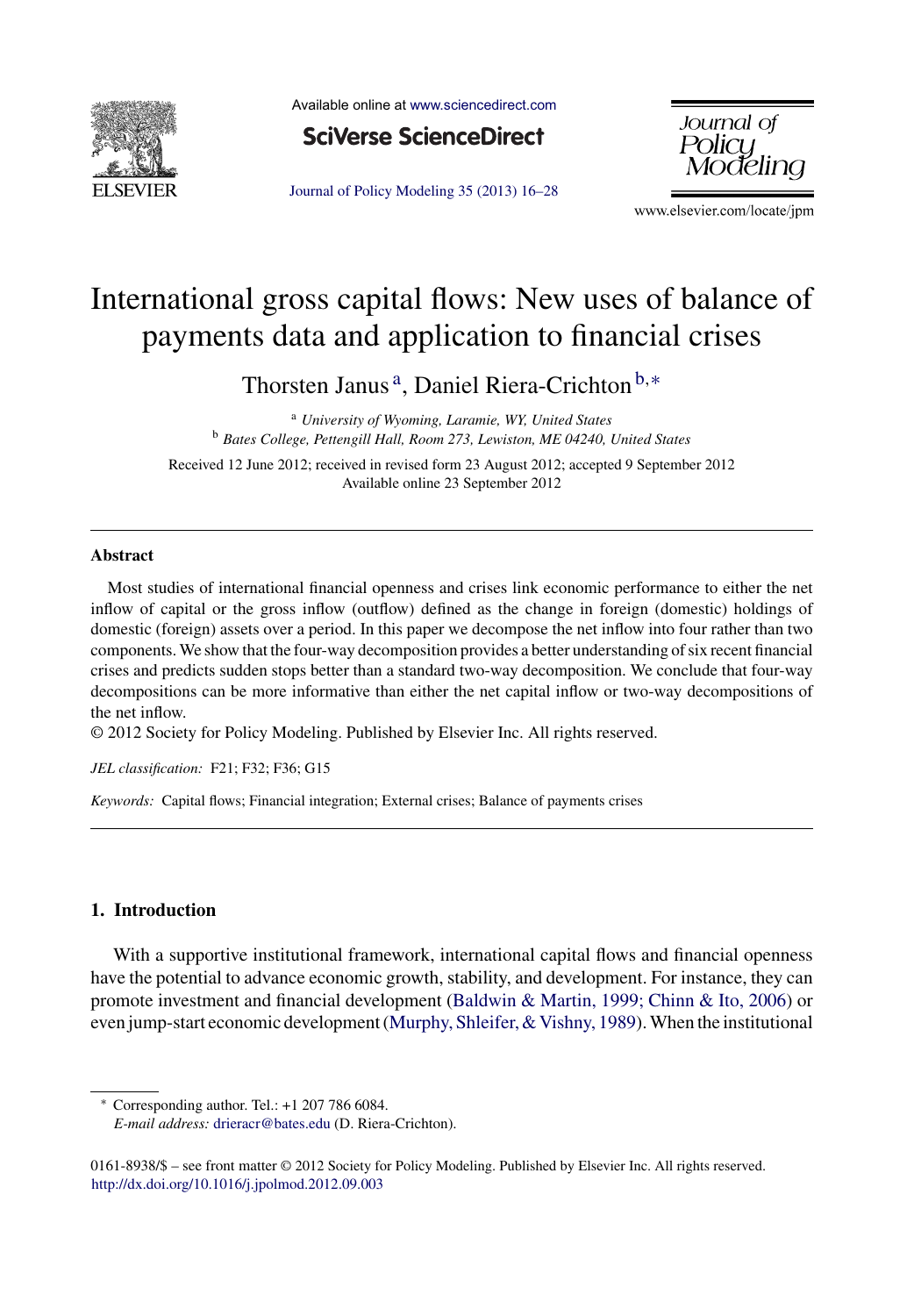

Available online at [www.sciencedirect.com](http://www.sciencedirect.com/science/journal/01618938)



Journal of Policy [Modeling](dx.doi.org/10.1016/j.jpolmod.2012.09.003) 35 (2013) 16–28



www.elsevier.com/locate/jpm

## International gross capital flows: New uses of balance of payments data and application to financial crises

Thorsten Janus<sup>a</sup>, Daniel Riera-Crichton<sup>b,∗</sup>

<sup>a</sup> *University of Wyoming, Laramie, WY, United States* <sup>b</sup> *Bates College, Pettengill Hall, Room 273, Lewiston, ME 04240, United States*

Received 12 June 2012; received in revised form 23 August 2012; accepted 9 September 2012 Available online 23 September 2012

## **Abstract**

Most studies of international financial openness and crises link economic performance to either the net inflow of capital or the gross inflow (outflow) defined as the change in foreign (domestic) holdings of domestic (foreign) assets over a period. In this paper we decompose the net inflow into four rather than two components. We show that the four-way decomposition provides a better understanding of six recent financial crises and predicts sudden stops better than a standard two-way decomposition. We conclude that four-way decompositions can be more informative than either the net capital inflow or two-way decompositions of the net inflow.

© 2012 Society for Policy Modeling. Published by Elsevier Inc. All rights reserved.

*JEL classification:* F21; F32; F36; G15

*Keywords:* Capital flows; Financial integration; External crises; Balance of payments crises

## **1. Introduction**

With a supportive institutional framework, international capital flows and financial openness have the potential to advance economic growth, stability, and development. For instance, they can promote investment and financial development [\(Baldwin](#page--1-0) [&](#page--1-0) [Martin,](#page--1-0) [1999;](#page--1-0) [Chinn](#page--1-0) [&](#page--1-0) [Ito,](#page--1-0) [2006\)](#page--1-0) or even jump-start economic development ([Murphy,](#page--1-0) Shleifer, & Vishny, [1989\).](#page--1-0) When the institutional

∗ Corresponding author. Tel.: +1 207 786 6084. *E-mail address:* [drieracr@bates.edu](mailto:drieracr@bates.edu) (D. Riera-Crichton).

<sup>0161-8938/\$</sup> – see front matter © 2012 Society for Policy Modeling. Published by Elsevier Inc. All rights reserved. [http://dx.doi.org/10.1016/j.jpolmod.2012.09.003](dx.doi.org/10.1016/j.jpolmod.2012.09.003)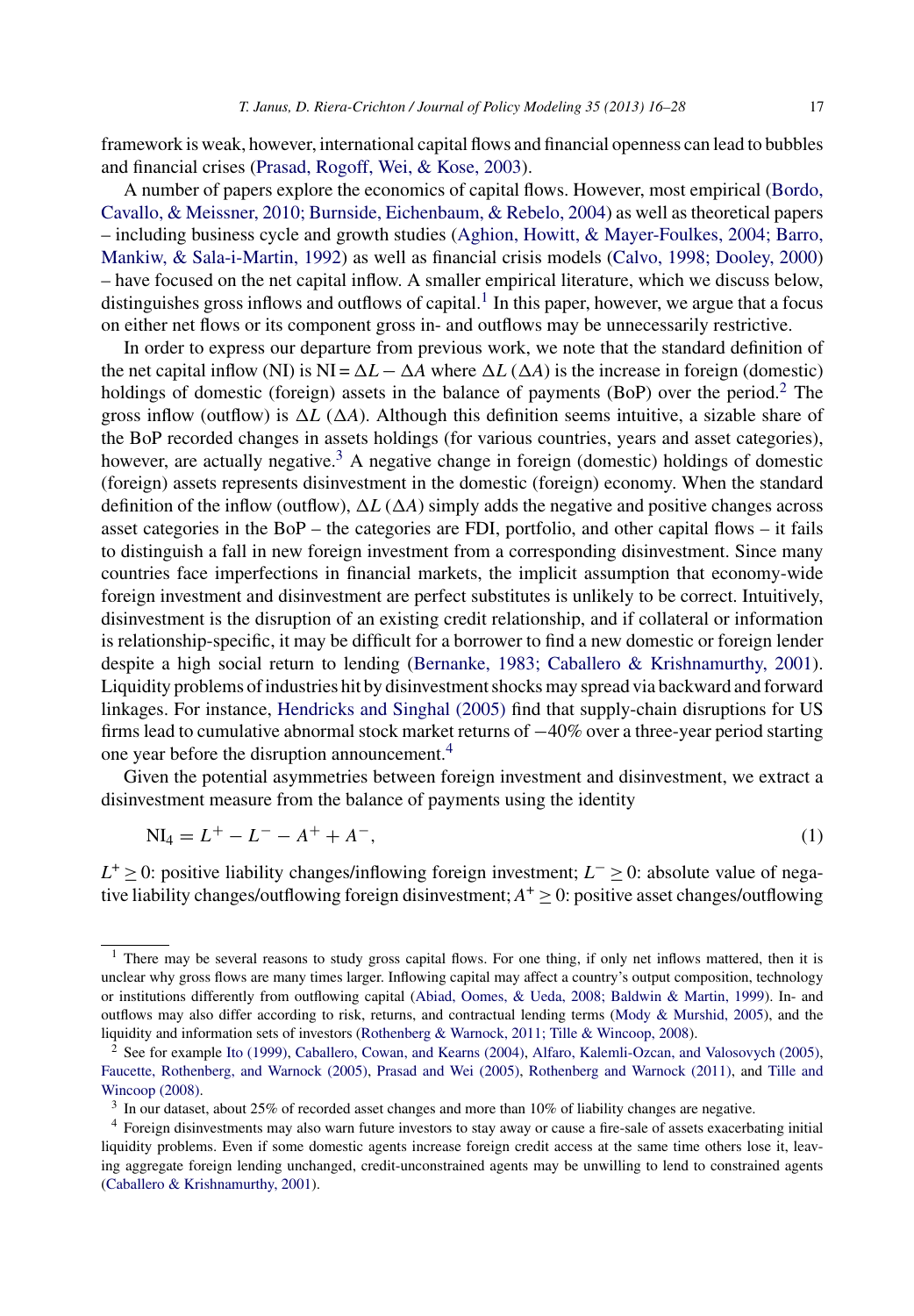framework is weak, however, international capital flows and financial openness can lead to bubbles and financial crises [\(Prasad,](#page--1-0) [Rogoff,](#page--1-0) [Wei,](#page--1-0) [&](#page--1-0) [Kose,](#page--1-0) [2003\).](#page--1-0)

A number of papers explore the economics of capital flows. However, most empirical [\(Bordo,](#page--1-0) [Cavallo,](#page--1-0) [&](#page--1-0) [Meissner,](#page--1-0) [2010;](#page--1-0) [Burnside,](#page--1-0) [Eichenbaum,](#page--1-0) [&](#page--1-0) [Rebelo,](#page--1-0) [2004\)](#page--1-0) as well as theoretical papers – including business cycle and growth studies ([Aghion,](#page--1-0) [Howitt,](#page--1-0) [&](#page--1-0) [Mayer-Foulkes,](#page--1-0) [2004;](#page--1-0) [Barro,](#page--1-0) [Mankiw,](#page--1-0) [&](#page--1-0) [Sala-i-Martin,](#page--1-0) [1992\)](#page--1-0) as well as financial crisis models [\(Calvo,](#page--1-0) [1998;](#page--1-0) [Dooley,](#page--1-0) [2000\)](#page--1-0) – have focused on the net capital inflow. A smaller empirical literature, which we discuss below, distinguishes gross inflows and outflows of capital.<sup>1</sup> In this paper, however, we argue that a focus on either net flows or its component gross in- and outflows may be unnecessarily restrictive.

In order to express our departure from previous work, we note that the standard definition of the net capital inflow (NI) is NI =  $\Delta L - \Delta A$  where  $\Delta L$  ( $\Delta A$ ) is the increase in foreign (domestic) holdings of domestic (foreign) assets in the balance of payments (BoP) over the period.<sup>2</sup> The gross inflow (outflow) is  $\Delta L$  ( $\Delta A$ ). Although this definition seems intuitive, a sizable share of the BoP recorded changes in assets holdings (for various countries, years and asset categories), however, are actually negative.<sup>3</sup> A negative change in foreign (domestic) holdings of domestic (foreign) assets represents disinvestment in the domestic (foreign) economy. When the standard definition of the inflow (outflow),  $\Delta L (\Delta A)$  simply adds the negative and positive changes across asset categories in the BoP – the categories are FDI, portfolio, and other capital flows – it fails to distinguish a fall in new foreign investment from a corresponding disinvestment. Since many countries face imperfections in financial markets, the implicit assumption that economy-wide foreign investment and disinvestment are perfect substitutes is unlikely to be correct. Intuitively, disinvestment is the disruption of an existing credit relationship, and if collateral or information is relationship-specific, it may be difficult for a borrower to find a new domestic or foreign lender despite a high social return to lending ([Bernanke,](#page--1-0) [1983;](#page--1-0) [Caballero](#page--1-0) [&](#page--1-0) [Krishnamurthy,](#page--1-0) [2001\).](#page--1-0) Liquidity problems of industries hit by disinvestment shocks may spread via backward and forward linkages. For instance, [Hendricks](#page--1-0) [and](#page--1-0) [Singhal](#page--1-0) [\(2005\)](#page--1-0) find that supply-chain disruptions for US firms lead to cumulative abnormal stock market returns of −40% over a three-year period starting one year before the disruption announcement.<sup>4</sup>

Given the potential asymmetries between foreign investment and disinvestment, we extract a disinvestment measure from the balance of payments using the identity

$$
NI_4 = L^+ - L^- - A^+ + A^-,
$$
\n(1)

*L*<sup>+</sup> ≥ 0: positive liability changes/inflowing foreign investment; *L*<sup>−</sup> ≥ 0: absolute value of negative liability changes/outflowing foreign disinvestment;  $A^+ \geq 0$ : positive asset changes/outflowing

<sup>&</sup>lt;sup>1</sup> There may be several reasons to study gross capital flows. For one thing, if only net inflows mattered, then it is unclear why gross flows are many times larger. Inflowing capital may affect a country's output composition, technology or institutions differently from outflowing capital ([Abiad,](#page--1-0) [Oomes,](#page--1-0) [&](#page--1-0) [Ueda,](#page--1-0) [2008;](#page--1-0) [Baldwin](#page--1-0) [&](#page--1-0) [Martin,](#page--1-0) [1999\).](#page--1-0) In- and outflows may also differ according to risk, returns, and contractual lending terms [\(Mody](#page--1-0) [&](#page--1-0) [Murshid,](#page--1-0) [2005\),](#page--1-0) and the liquidity and information sets of investors ([Rothenberg](#page--1-0) [&](#page--1-0) [Warnock,](#page--1-0) [2011;](#page--1-0) [Tille](#page--1-0) [&](#page--1-0) [Wincoop,](#page--1-0) [2008\).](#page--1-0)

<sup>&</sup>lt;sup>2</sup> See for example [Ito](#page--1-0) [\(1999\),](#page--1-0) [Caballero,](#page--1-0) [Cowan,](#page--1-0) [and](#page--1-0) [Kearns](#page--1-0) [\(2004\),](#page--1-0) [Alfaro,](#page--1-0) [Kalemli-Ozcan,](#page--1-0) and [Valosovych](#page--1-0) [\(2005\),](#page--1-0) [Faucette,](#page--1-0) [Rothenberg,](#page--1-0) [and](#page--1-0) [Warnock](#page--1-0) [\(2005\),](#page--1-0) [Prasad](#page--1-0) [and](#page--1-0) [Wei](#page--1-0) [\(2005\),](#page--1-0) [Rothenberg](#page--1-0) [and](#page--1-0) [Warnock](#page--1-0) [\(2011\),](#page--1-0) and [Tille](#page--1-0) [and](#page--1-0) [Wincoop](#page--1-0) [\(2008\).](#page--1-0)

<sup>3</sup> In our dataset, about 25% of recorded asset changes and more than 10% of liability changes are negative.

<sup>4</sup> Foreign disinvestments may also warn future investors to stay away or cause a fire-sale of assets exacerbating initial liquidity problems. Even if some domestic agents increase foreign credit access at the same time others lose it, leaving aggregate foreign lending unchanged, credit-unconstrained agents may be unwilling to lend to constrained agents ([Caballero](#page--1-0) [&](#page--1-0) [Krishnamurthy,](#page--1-0) [2001\).](#page--1-0)